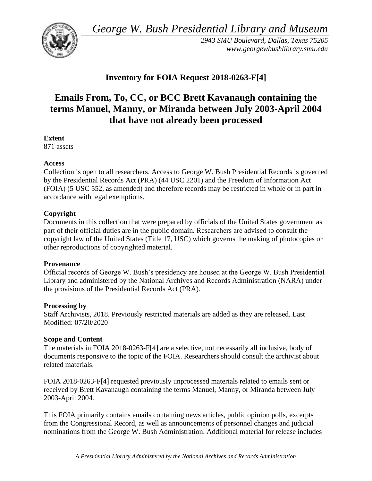*George W. Bush Presidential Library and Museum* 



*2943 SMU Boulevard, Dallas, Texas 75205 <www.georgewbushlibrary.smu.edu>*

## **Inventory for FOIA Request 2018-0263-F[4]**

# **Emails From, To, CC, or BCC Brett Kavanaugh containing the terms Manuel, Manny, or Miranda between July 2003-April 2004 that have not already been processed**

### **Extent**

871 assets

#### **Access**

Collection is open to all researchers. Access to George W. Bush Presidential Records is governed by the Presidential Records Act (PRA) (44 USC 2201) and the Freedom of Information Act (FOIA) (5 USC 552, as amended) and therefore records may be restricted in whole or in part in accordance with legal exemptions.

### **Copyright**

Documents in this collection that were prepared by officials of the United States government as part of their official duties are in the public domain. Researchers are advised to consult the copyright law of the United States (Title 17, USC) which governs the making of photocopies or other reproductions of copyrighted material.

#### **Provenance**

 Official records of George W. Bush's presidency are housed at the George W. Bush Presidential Library and administered by the National Archives and Records Administration (NARA) under the provisions of the Presidential Records Act (PRA).

#### **Processing by**

Staff Archivists, 2018. Previously restricted materials are added as they are released. Last Modified: 07/20/2020

## **Scope and Content**

The materials in FOIA 2018-0263-F[4] are a selective, not necessarily all inclusive, body of documents responsive to the topic of the FOIA. Researchers should consult the archivist about related materials.

FOIA 2018-0263-F[4] requested previously unprocessed materials related to emails sent or received by Brett Kavanaugh containing the terms Manuel, Manny, or Miranda between July 2003-April 2004.

This FOIA primarily contains emails containing news articles, public opinion polls, excerpts from the Congressional Record, as well as announcements of personnel changes and judicial nominations from the George W. Bush Administration. Additional material for release includes